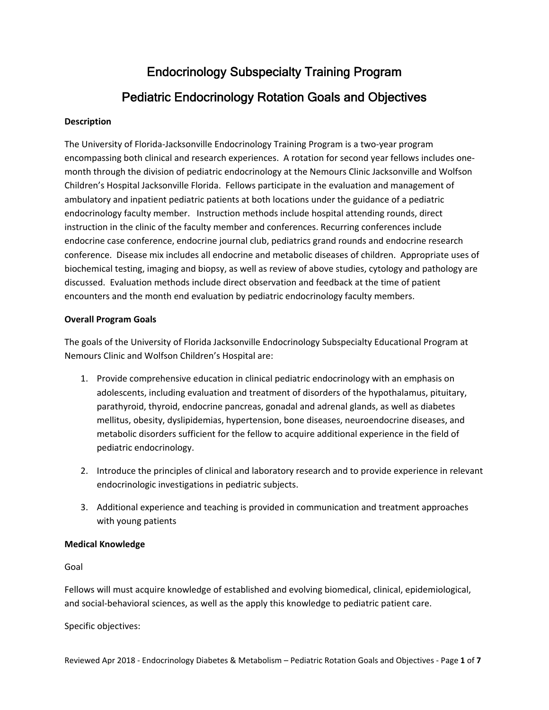# Endocrinology Subspecialty Training Program Pediatric Endocrinology Rotation Goals and Objectives

## **Description**

The University of Florida‐Jacksonville Endocrinology Training Program is a two‐year program encompassing both clinical and research experiences. A rotation for second year fellows includes one‐ month through the division of pediatric endocrinology at the Nemours Clinic Jacksonville and Wolfson Children's Hospital Jacksonville Florida. Fellows participate in the evaluation and management of ambulatory and inpatient pediatric patients at both locations under the guidance of a pediatric endocrinology faculty member. Instruction methods include hospital attending rounds, direct instruction in the clinic of the faculty member and conferences. Recurring conferences include endocrine case conference, endocrine journal club, pediatrics grand rounds and endocrine research conference. Disease mix includes all endocrine and metabolic diseases of children. Appropriate uses of biochemical testing, imaging and biopsy, as well as review of above studies, cytology and pathology are discussed. Evaluation methods include direct observation and feedback at the time of patient encounters and the month end evaluation by pediatric endocrinology faculty members.

## **Overall Program Goals**

The goals of the University of Florida Jacksonville Endocrinology Subspecialty Educational Program at Nemours Clinic and Wolfson Children's Hospital are:

- 1. Provide comprehensive education in clinical pediatric endocrinology with an emphasis on adolescents, including evaluation and treatment of disorders of the hypothalamus, pituitary, parathyroid, thyroid, endocrine pancreas, gonadal and adrenal glands, as well as diabetes mellitus, obesity, dyslipidemias, hypertension, bone diseases, neuroendocrine diseases, and metabolic disorders sufficient for the fellow to acquire additional experience in the field of pediatric endocrinology.
- 2. Introduce the principles of clinical and laboratory research and to provide experience in relevant endocrinologic investigations in pediatric subjects.
- 3. Additional experience and teaching is provided in communication and treatment approaches with young patients

## **Medical Knowledge**

## Goal

Fellows will must acquire knowledge of established and evolving biomedical, clinical, epidemiological, and social‐behavioral sciences, as well as the apply this knowledge to pediatric patient care.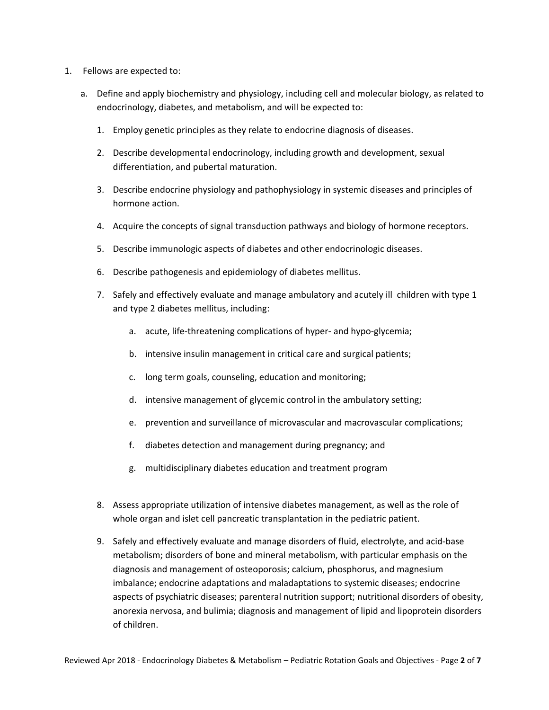- 1. Fellows are expected to:
	- a. Define and apply biochemistry and physiology, including cell and molecular biology, as related to endocrinology, diabetes, and metabolism, and will be expected to:
		- 1. Employ genetic principles as they relate to endocrine diagnosis of diseases.
		- 2. Describe developmental endocrinology, including growth and development, sexual differentiation, and pubertal maturation.
		- 3. Describe endocrine physiology and pathophysiology in systemic diseases and principles of hormone action.
		- 4. Acquire the concepts of signal transduction pathways and biology of hormone receptors.
		- 5. Describe immunologic aspects of diabetes and other endocrinologic diseases.
		- 6. Describe pathogenesis and epidemiology of diabetes mellitus.
		- 7. Safely and effectively evaluate and manage ambulatory and acutely ill children with type 1 and type 2 diabetes mellitus, including:
			- a. acute, life-threatening complications of hyper- and hypo-glycemia;
			- b. intensive insulin management in critical care and surgical patients;
			- c. long term goals, counseling, education and monitoring;
			- d. intensive management of glycemic control in the ambulatory setting;
			- e. prevention and surveillance of microvascular and macrovascular complications;
			- f. diabetes detection and management during pregnancy; and
			- g. multidisciplinary diabetes education and treatment program
		- 8. Assess appropriate utilization of intensive diabetes management, as well as the role of whole organ and islet cell pancreatic transplantation in the pediatric patient.
		- 9. Safely and effectively evaluate and manage disorders of fluid, electrolyte, and acid‐base metabolism; disorders of bone and mineral metabolism, with particular emphasis on the diagnosis and management of osteoporosis; calcium, phosphorus, and magnesium imbalance; endocrine adaptations and maladaptations to systemic diseases; endocrine aspects of psychiatric diseases; parenteral nutrition support; nutritional disorders of obesity, anorexia nervosa, and bulimia; diagnosis and management of lipid and lipoprotein disorders of children.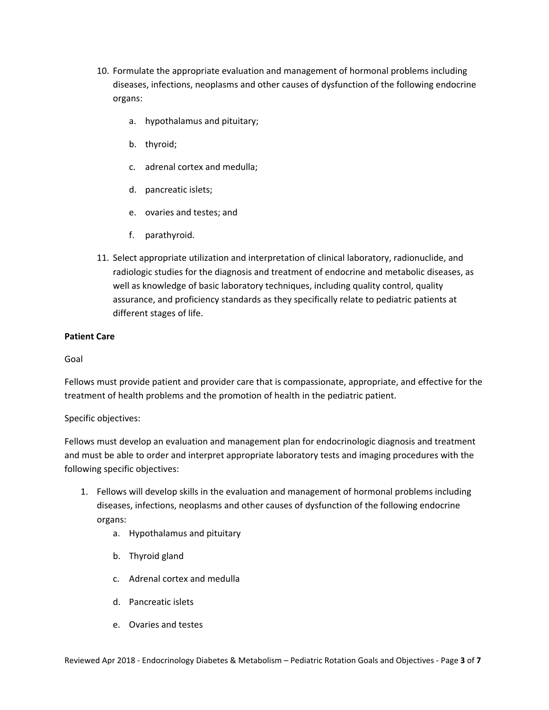- 10. Formulate the appropriate evaluation and management of hormonal problems including diseases, infections, neoplasms and other causes of dysfunction of the following endocrine organs:
	- a. hypothalamus and pituitary;
	- b. thyroid;
	- c. adrenal cortex and medulla;
	- d. pancreatic islets;
	- e. ovaries and testes; and
	- f. parathyroid.
- 11. Select appropriate utilization and interpretation of clinical laboratory, radionuclide, and radiologic studies for the diagnosis and treatment of endocrine and metabolic diseases, as well as knowledge of basic laboratory techniques, including quality control, quality assurance, and proficiency standards as they specifically relate to pediatric patients at different stages of life.

# **Patient Care**

Goal

Fellows must provide patient and provider care that is compassionate, appropriate, and effective for the treatment of health problems and the promotion of health in the pediatric patient.

Specific objectives:

Fellows must develop an evaluation and management plan for endocrinologic diagnosis and treatment and must be able to order and interpret appropriate laboratory tests and imaging procedures with the following specific objectives:

- 1. Fellows will develop skills in the evaluation and management of hormonal problems including diseases, infections, neoplasms and other causes of dysfunction of the following endocrine organs:
	- a. Hypothalamus and pituitary
	- b. Thyroid gland
	- c. Adrenal cortex and medulla
	- d. Pancreatic islets
	- e. Ovaries and testes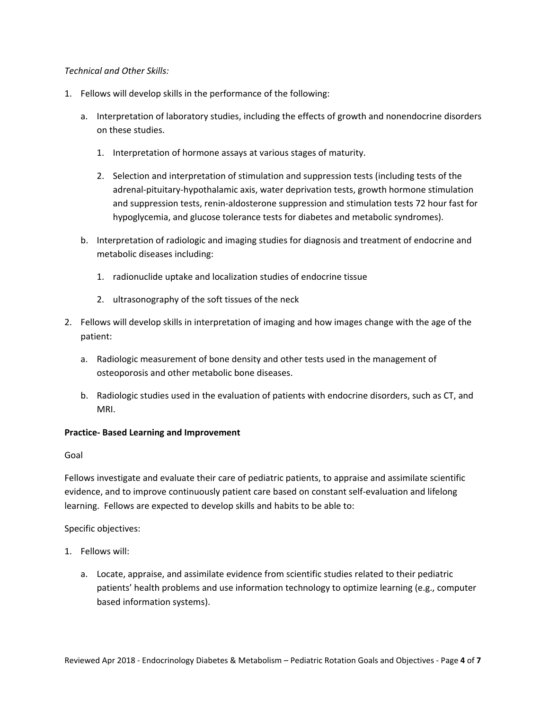## *Technical and Other Skills:*

- 1. Fellows will develop skills in the performance of the following:
	- a. Interpretation of laboratory studies, including the effects of growth and nonendocrine disorders on these studies.
		- 1. Interpretation of hormone assays at various stages of maturity.
		- 2. Selection and interpretation of stimulation and suppression tests (including tests of the adrenal‐pituitary‐hypothalamic axis, water deprivation tests, growth hormone stimulation and suppression tests, renin‐aldosterone suppression and stimulation tests 72 hour fast for hypoglycemia, and glucose tolerance tests for diabetes and metabolic syndromes).
	- b. Interpretation of radiologic and imaging studies for diagnosis and treatment of endocrine and metabolic diseases including:
		- 1. radionuclide uptake and localization studies of endocrine tissue
		- 2. ultrasonography of the soft tissues of the neck
- 2. Fellows will develop skills in interpretation of imaging and how images change with the age of the patient:
	- a. Radiologic measurement of bone density and other tests used in the management of osteoporosis and other metabolic bone diseases.
	- b. Radiologic studies used in the evaluation of patients with endocrine disorders, such as CT, and MRI.

## **Practice‐ Based Learning and Improvement**

#### Goal

Fellows investigate and evaluate their care of pediatric patients, to appraise and assimilate scientific evidence, and to improve continuously patient care based on constant self‐evaluation and lifelong learning. Fellows are expected to develop skills and habits to be able to:

- 1. Fellows will:
	- a. Locate, appraise, and assimilate evidence from scientific studies related to their pediatric patients' health problems and use information technology to optimize learning (e.g., computer based information systems).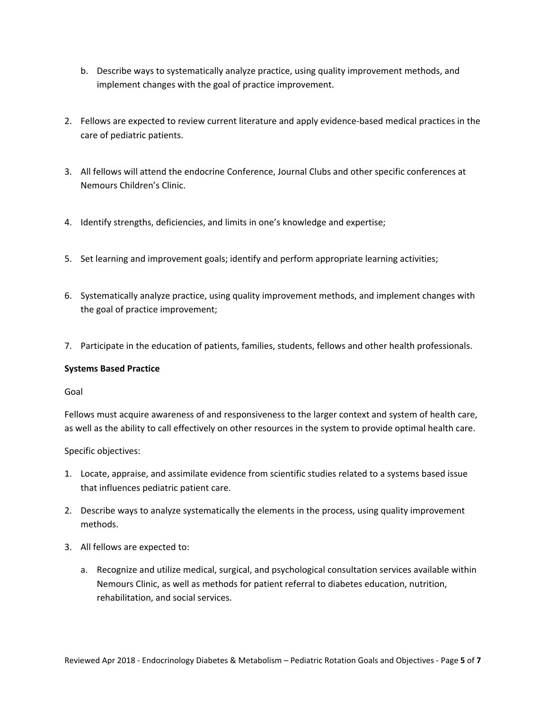- b. Describe ways to systematically analyze practice, using quality improvement methods, and implement changes with the goal of practice improvement.
- 2. Fellows are expected to review current literature and apply evidence-based medical practices in the care of pediatric patients.
- 3. All fellows will attend the endocrine Conference, Journal Clubs and other specific conferences at Nemours Children's Clinic.
- 4. Identify strengths, deficiencies, and limits in one's knowledge and expertise;
- 5. Set learning and improvement goals; identify and perform appropriate learning activities;
- 6. Systematically analyze practice, using quality improvement methods, and implement changes with the goal of practice improvement;
- 7. Participate in the education of patients, families, students, fellows and other health professionals.

## **Systems Based Practice**

#### Goal

Fellows must acquire awareness of and responsiveness to the larger context and system of health care, as well as the ability to call effectively on other resources in the system to provide optimal health care.

- 1. Locate, appraise, and assimilate evidence from scientific studies related to a systems based issue that influences pediatric patient care.
- 2. Describe ways to analyze systematically the elements in the process, using quality improvement methods.
- 3. All fellows are expected to:
	- a. Recognize and utilize medical, surgical, and psychological consultation services available within Nemours Clinic, as well as methods for patient referral to diabetes education, nutrition, rehabilitation, and social services.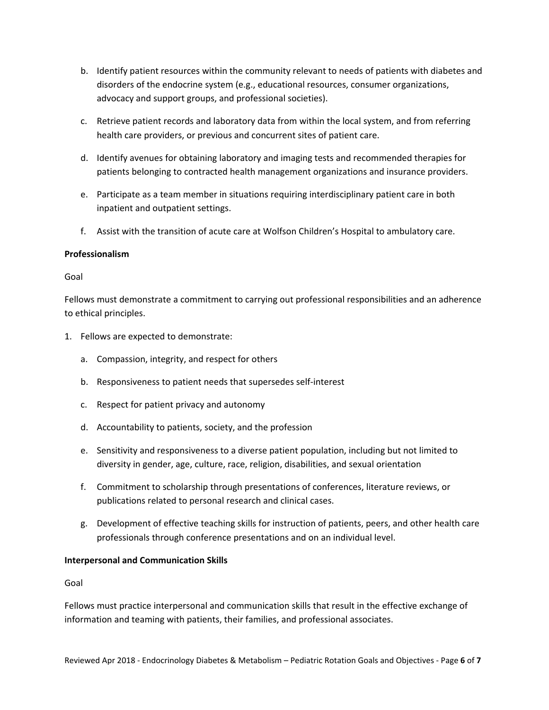- b. Identify patient resources within the community relevant to needs of patients with diabetes and disorders of the endocrine system (e.g., educational resources, consumer organizations, advocacy and support groups, and professional societies).
- c. Retrieve patient records and laboratory data from within the local system, and from referring health care providers, or previous and concurrent sites of patient care.
- d. Identify avenues for obtaining laboratory and imaging tests and recommended therapies for patients belonging to contracted health management organizations and insurance providers.
- e. Participate as a team member in situations requiring interdisciplinary patient care in both inpatient and outpatient settings.
- f. Assist with the transition of acute care at Wolfson Children's Hospital to ambulatory care.

## **Professionalism**

## Goal

Fellows must demonstrate a commitment to carrying out professional responsibilities and an adherence to ethical principles.

- 1. Fellows are expected to demonstrate:
	- a. Compassion, integrity, and respect for others
	- b. Responsiveness to patient needs that supersedes self‐interest
	- c. Respect for patient privacy and autonomy
	- d. Accountability to patients, society, and the profession
	- e. Sensitivity and responsiveness to a diverse patient population, including but not limited to diversity in gender, age, culture, race, religion, disabilities, and sexual orientation
	- f. Commitment to scholarship through presentations of conferences, literature reviews, or publications related to personal research and clinical cases.
	- g. Development of effective teaching skills for instruction of patients, peers, and other health care professionals through conference presentations and on an individual level.

## **Interpersonal and Communication Skills**

## Goal

Fellows must practice interpersonal and communication skills that result in the effective exchange of information and teaming with patients, their families, and professional associates.